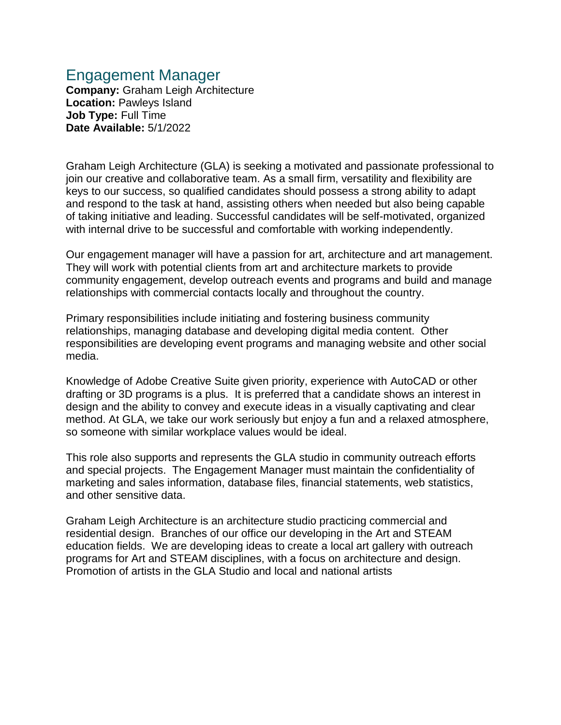## Engagement Manager

**Company:** Graham Leigh Architecture **Location:** Pawleys Island **Job Type:** Full Time **Date Available:** 5/1/2022

Graham Leigh Architecture (GLA) is seeking a motivated and passionate professional to join our creative and collaborative team. As a small firm, versatility and flexibility are keys to our success, so qualified candidates should possess a strong ability to adapt and respond to the task at hand, assisting others when needed but also being capable of taking initiative and leading. Successful candidates will be self-motivated, organized with internal drive to be successful and comfortable with working independently.

Our engagement manager will have a passion for art, architecture and art management. They will work with potential clients from art and architecture markets to provide community engagement, develop outreach events and programs and build and manage relationships with commercial contacts locally and throughout the country.

Primary responsibilities include initiating and fostering business community relationships, managing database and developing digital media content. Other responsibilities are developing event programs and managing website and other social media.

Knowledge of Adobe Creative Suite given priority, experience with AutoCAD or other drafting or 3D programs is a plus. It is preferred that a candidate shows an interest in design and the ability to convey and execute ideas in a visually captivating and clear method. At GLA, we take our work seriously but enjoy a fun and a relaxed atmosphere, so someone with similar workplace values would be ideal.

This role also supports and represents the GLA studio in community outreach efforts and special projects. The Engagement Manager must maintain the confidentiality of marketing and sales information, database files, financial statements, web statistics, and other sensitive data.

Graham Leigh Architecture is an architecture studio practicing commercial and residential design. Branches of our office our developing in the Art and STEAM education fields. We are developing ideas to create a local art gallery with outreach programs for Art and STEAM disciplines, with a focus on architecture and design. Promotion of artists in the GLA Studio and local and national artists